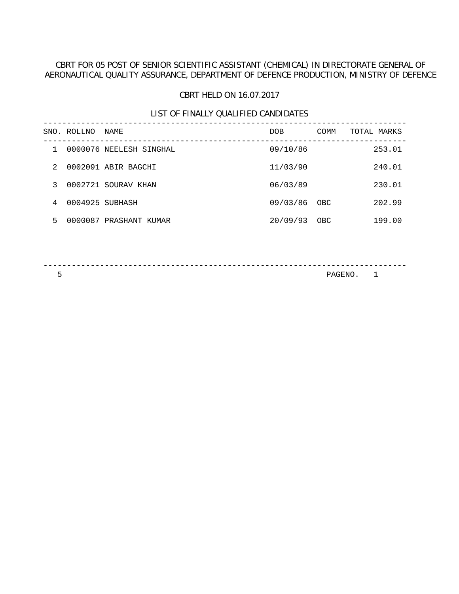# CBRT FOR 05 POST OF SENIOR SCIENTIFIC ASSISTANT (CHEMICAL) IN DIRECTORATE GENERAL OF AERONAUTICAL QUALITY ASSURANCE, DEPARTMENT OF DEFENCE PRODUCTION, MINISTRY OF DEFENCE

#### CBRT HELD ON 16.07.2017

### LIST OF FINALLY QUALIFIED CANDIDATES

| SNO.          | ROLLNO | NAME                    | DOB      | <b>COMM</b> | TOTAL MARKS |  |
|---------------|--------|-------------------------|----------|-------------|-------------|--|
|               |        | 0000076 NEELESH SINGHAL | 09/10/86 |             | 253.01      |  |
| $\mathcal{L}$ |        | 0002091 ABIR BAGCHI     | 11/03/90 |             | 240.01      |  |
| 3             |        | 0002721 SOURAV KHAN     | 06/03/89 |             | 230.01      |  |
| 4             |        | 0004925 SUBHASH         | 09/03/86 | OBC         | 202.99      |  |
| 5             |        | 0000087 PRASHANT KUMAR  | 20/09/93 | OBC         | 199.00      |  |
|               |        |                         |          |             |             |  |

-----------------------------------------------------------------------------

PAGENO. 1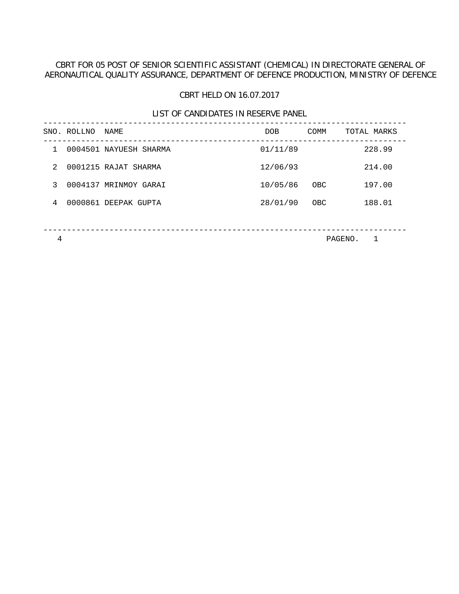# CBRT FOR 05 POST OF SENIOR SCIENTIFIC ASSISTANT (CHEMICAL) IN DIRECTORATE GENERAL OF AERONAUTICAL QUALITY ASSURANCE, DEPARTMENT OF DEFENCE PRODUCTION, MINISTRY OF DEFENCE

#### CBRT HELD ON 16.07.2017

### LIST OF CANDIDATES IN RESERVE PANEL

|               | SNO. ROLLNO | NAME                   | DOB.     | COMM | TOTAL MARKS |
|---------------|-------------|------------------------|----------|------|-------------|
| 1             |             | 0004501 NAYUESH SHARMA | 01/11/89 |      | 228.99      |
| $\mathcal{L}$ |             | 0001215 RAJAT SHARMA   | 12/06/93 |      | 214.00      |
| 3             |             | 0004137 MRINMOY GARAI  | 10/05/86 | OBC  | 197.00      |
| 4             |             | 0000861 DEEPAK GUPTA   | 28/01/90 | OBC  | 188.01      |
|               |             |                        |          |      |             |
|               |             |                        |          |      |             |

4 PAGENO. 1